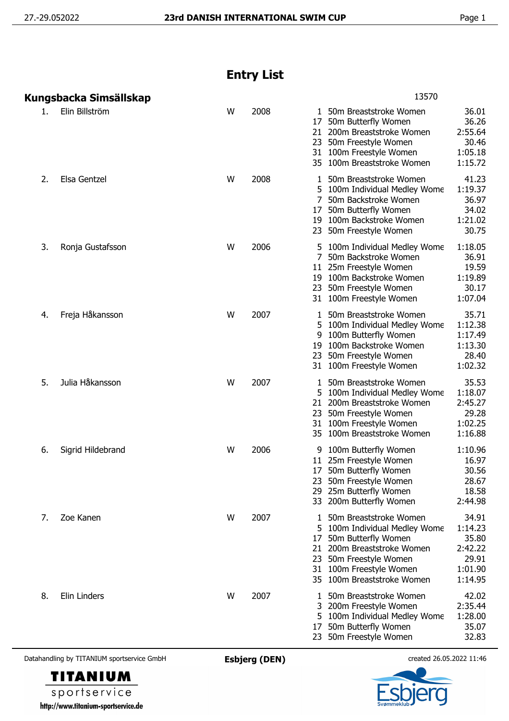## **Entry List**

|    | Kungsbacka Simsällskap |   |      | 13570                                                                                                                                                                                                                                                                                   |
|----|------------------------|---|------|-----------------------------------------------------------------------------------------------------------------------------------------------------------------------------------------------------------------------------------------------------------------------------------------|
| 1. | Elin Billström         | W | 2008 | 36.01<br>1 50m Breaststroke Women<br>36.26<br>50m Butterfly Women<br>17<br>2:55.64<br>200m Breaststroke Women<br>21<br>30.46<br>50m Freestyle Women<br>23<br>1:05.18<br>100m Freestyle Women<br>31<br>35 100m Breaststroke Women<br>1:15.72                                             |
| 2. | Elsa Gentzel           | W | 2008 | 41.23<br>50m Breaststroke Women<br>1<br>1:19.37<br>5 100m Individual Medley Wome<br>36.97<br>7<br>50m Backstroke Women<br>34.02<br>50m Butterfly Women<br>17<br>1:21.02<br>19 100m Backstroke Women<br>30.75<br>23 50m Freestyle Women                                                  |
| 3. | Ronja Gustafsson       | W | 2006 | 1:18.05<br>5 100m Individual Medley Wome<br>7<br>36.91<br>50m Backstroke Women<br>19.59<br>11 25m Freestyle Women<br>19 100m Backstroke Women<br>1:19.89<br>30.17<br>23<br>50m Freestyle Women<br>1:07.04<br>31 100m Freestyle Women                                                    |
| 4. | Freja Håkansson        | W | 2007 | 35.71<br>50m Breaststroke Women<br>1<br>1:12.38<br>5 100m Individual Medley Wome<br>1:17.49<br>9<br>100m Butterfly Women<br>100m Backstroke Women<br>1:13.30<br>19<br>28.40<br>23<br>50m Freestyle Women<br>1:02.32<br>31 100m Freestyle Women                                          |
| 5. | Julia Håkansson        | W | 2007 | 35.53<br>50m Breaststroke Women<br>1<br>1:18.07<br>100m Individual Medley Wome<br>200m Breaststroke Women<br>2:45.27<br>21<br>29.28<br>50m Freestyle Women<br>23<br>1:02.25<br>31 100m Freestyle Women<br>1:16.88<br>35 100m Breaststroke Women                                         |
| 6. | Sigrid Hildebrand      | W | 2006 | 1:10.96<br>100m Butterfly Women<br>9<br>16.97<br>25m Freestyle Women<br>11<br>30.56<br>50m Butterfly Women<br>17<br>23 50m Freestyle Women<br>28.67<br>18.58<br>25m Butterfly Women<br>29<br>2:44.98<br>33 200m Butterfly Women                                                         |
| 7. | Zoe Kanen              | W | 2007 | 50m Breaststroke Women<br>34.91<br>1<br>1:14.23<br>5 100m Individual Medley Wome<br>35.80<br>50m Butterfly Women<br>17<br>2:42.22<br>200m Breaststroke Women<br>21<br>29.91<br>50m Freestyle Women<br>23<br>1:01.90<br>31 100m Freestyle Women<br>35 100m Breaststroke Women<br>1:14.95 |
| 8. | Elin Linders           | W | 2007 | 42.02<br>50m Breaststroke Women<br>1<br>2:35.44<br>3 200m Freestyle Women<br>1:28.00<br>5 100m Individual Medley Wome<br>35.07<br>50m Butterfly Women<br>17<br>32.83<br>50m Freestyle Women<br>23                                                                                       |

Datahandling by TITANIUM sportservice GmbH **Esbjerg (DEN)** created 26.05.2022 11:46





sportservice http://www.titanium-sportservice.de

**TITANIUM**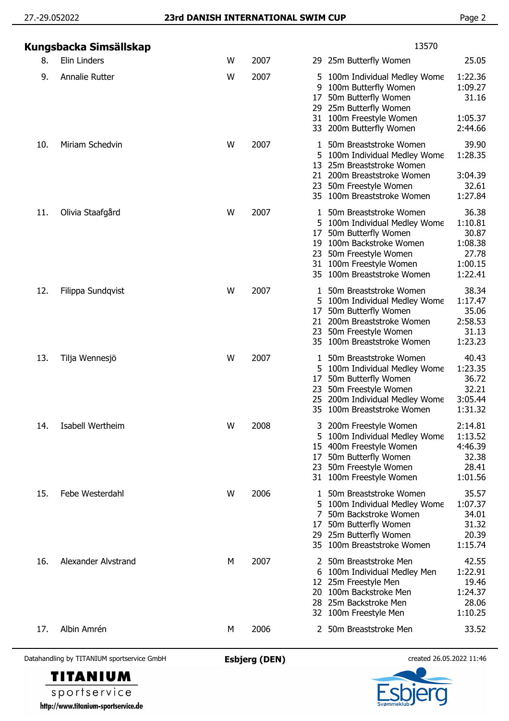| Kungsbacka Simsällskap |   |      | 13570                                                                                                                                                                                                                                                                                     |
|------------------------|---|------|-------------------------------------------------------------------------------------------------------------------------------------------------------------------------------------------------------------------------------------------------------------------------------------------|
| Elin Linders           | W | 2007 | 25.05<br>29 25m Butterfly Women                                                                                                                                                                                                                                                           |
| Annalie Rutter         | W | 2007 | 1:22.36<br>100m Individual Medley Wome<br>5<br>1:09.27<br>100m Butterfly Women<br>9<br>50m Butterfly Women<br>31.16<br>17<br>29 25m Butterfly Women<br>100m Freestyle Women<br>1:05.37<br>31<br>200m Butterfly Women<br>2:44.66<br>33                                                     |
| Miriam Schedvin        | W | 2007 | 39.90<br>50m Breaststroke Women<br>1:28.35<br>100m Individual Medley Wome<br>5<br>25m Breaststroke Women<br>13<br>200m Breaststroke Women<br>3:04.39<br>21<br>32.61<br>50m Freestyle Women<br>23<br>100m Breaststroke Women<br>1:27.84<br>35                                              |
| Olivia Staafgård       | W | 2007 | 36.38<br>50m Breaststroke Women<br>1<br>1:10.81<br>100m Individual Medley Wome<br>50m Butterfly Women<br>30.87<br>17<br>100m Backstroke Women<br>1:08.38<br>19<br>27.78<br>50m Freestyle Women<br>23<br>100m Freestyle Women<br>1:00.15<br>31<br>100m Breaststroke Women<br>1:22.41<br>35 |
| Filippa Sundqvist      | W | 2007 | 38.34<br>50m Breaststroke Women<br>1<br>1:17.47<br>100m Individual Medley Wome<br>5<br>50m Butterfly Women<br>35.06<br>17<br>200m Breaststroke Women<br>2:58.53<br>21<br>31.13<br>50m Freestyle Women<br>23<br>1:23.23<br>100m Breaststroke Women<br>35                                   |
| Tilja Wennesjö         | W | 2007 | 40.43<br>50m Breaststroke Women<br>1<br>1:23.35<br>100m Individual Medley Wome<br>5<br>50m Butterfly Women<br>36.72<br>17<br>50m Freestyle Women<br>32.21<br>23<br>3:05.44<br>200m Individual Medley Wome<br>25<br>1:31.32<br>35 100m Breaststroke Women                                  |
| Isabell Wertheim       | W | 2008 | 2:14.81<br>3 200m Freestyle Women<br>1:13.52<br>100m Individual Medley Wome<br>5<br>4:46.39<br>400m Freestyle Women<br>15<br>32.38<br>50m Butterfly Women<br>17<br>28.41<br>50m Freestyle Women<br>23<br>1:01.56<br>100m Freestyle Women<br>31                                            |
| Febe Westerdahl        | W | 2006 | 35.57<br>50m Breaststroke Women<br>1<br>1:07.37<br>100m Individual Medley Wome<br>5<br>34.01<br>50m Backstroke Women<br>7<br>31.32<br>50m Butterfly Women<br>17<br>20.39<br>25m Butterfly Women<br>29<br>1:15.74<br>100m Breaststroke Women<br>35                                         |
| Alexander Alvstrand    | M | 2007 | 42.55<br>50m Breaststroke Men<br>1:22.91<br>100m Individual Medley Men<br>6<br>19.46<br>25m Freestyle Men<br>12<br>1:24.37<br>100m Backstroke Men<br>20<br>28.06<br>25m Backstroke Men<br>28<br>1:10.25<br>100m Freestyle Men<br>32                                                       |
| Albin Amrén            | M | 2006 | 2 50m Breaststroke Men<br>33.52                                                                                                                                                                                                                                                           |
|                        |   |      |                                                                                                                                                                                                                                                                                           |

Datahandling by TITANIUM sportservice GmbH **Esbjerg (DEN)** created 26.05.2022 11:46



**TITANIUM**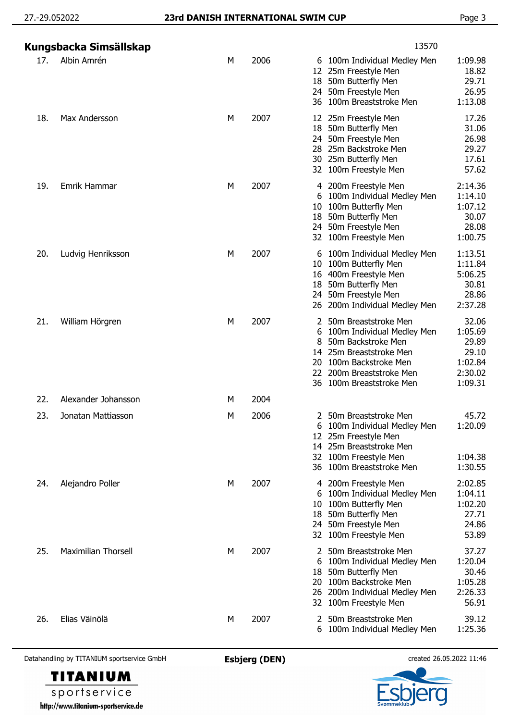| Kungsbacka Simsällskap |                            |   |      | 13570                                                                                                                                                                                                                                                                                |  |  |
|------------------------|----------------------------|---|------|--------------------------------------------------------------------------------------------------------------------------------------------------------------------------------------------------------------------------------------------------------------------------------------|--|--|
| 17.                    | Albin Amrén                | М | 2006 | 1:09.98<br>6 100m Individual Medley Men<br>18.82<br>12 25m Freestyle Men<br>29.71<br>50m Butterfly Men<br>18<br>26.95<br>24 50m Freestyle Men<br>1:13.08<br>36 100m Breaststroke Men                                                                                                 |  |  |
| 18.                    | Max Andersson              | М | 2007 | 17.26<br>12 25m Freestyle Men<br>31.06<br>18 50m Butterfly Men<br>24 50m Freestyle Men<br>26.98<br>29.27<br>28 25m Backstroke Men<br>17.61<br>30 25m Butterfly Men<br>57.62<br>32 100m Freestyle Men                                                                                 |  |  |
| 19.                    | Emrik Hammar               | М | 2007 | 2:14.36<br>4 200m Freestyle Men<br>6 100m Individual Medley Men<br>1:14.10<br>100m Butterfly Men<br>1:07.12<br>10<br>50m Butterfly Men<br>30.07<br>18<br>24 50m Freestyle Men<br>28.08<br>1:00.75<br>32 100m Freestyle Men                                                           |  |  |
| 20.                    | Ludvig Henriksson          | М | 2007 | 1:13.51<br>6 100m Individual Medley Men<br>100m Butterfly Men<br>1:11.84<br>10<br>5:06.25<br>16 400m Freestyle Men<br>50m Butterfly Men<br>30.81<br>18<br>28.86<br>24 50m Freestyle Men<br>2:37.28<br>26 200m Individual Medley Men                                                  |  |  |
| 21.                    | William Hörgren            | М | 2007 | 32.06<br>50m Breaststroke Men<br>2<br>1:05.69<br>100m Individual Medley Men<br>6<br>50m Backstroke Men<br>29.89<br>8<br>29.10<br>25m Breaststroke Men<br>14<br>100m Backstroke Men<br>1:02.84<br>20<br>2:30.02<br>200m Breaststroke Men<br>22<br>1:09.31<br>36 100m Breaststroke Men |  |  |
| 22.                    | Alexander Johansson        | м | 2004 |                                                                                                                                                                                                                                                                                      |  |  |
| 23.                    | Jonatan Mattiasson         | м | 2006 | 45.72<br>2 50m Breaststroke Men<br>1:20.09<br>6 100m Individual Medley Men<br>25m Freestyle Men<br>12<br>25m Breaststroke Men<br>14<br>100m Freestyle Men<br>1:04.38<br>32<br>1:30.55<br>100m Breaststroke Men<br>36                                                                 |  |  |
| 24.                    | Alejandro Poller           | М | 2007 | 2:02.85<br>4 200m Freestyle Men<br>1:04.11<br>100m Individual Medley Men<br>6<br>1:02.20<br>100m Butterfly Men<br>10<br>50m Butterfly Men<br>27.71<br>18<br>24.86<br>24 50m Freestyle Men<br>53.89<br>32 100m Freestyle Men                                                          |  |  |
| 25.                    | <b>Maximilian Thorsell</b> | M | 2007 | 37.27<br>2 50m Breaststroke Men<br>1:20.04<br>100m Individual Medley Men<br>6<br>30.46<br>50m Butterfly Men<br>18<br>100m Backstroke Men<br>1:05.28<br>20<br>2:26.33<br>200m Individual Medley Men<br>26<br>56.91<br>32 100m Freestyle Men                                           |  |  |
| 26.                    | Elias Väinölä              | М | 2007 | 50m Breaststroke Men<br>39.12<br>2<br>1:25.36<br>100m Individual Medley Men<br>6                                                                                                                                                                                                     |  |  |

Datahandling by TITANIUM sportservice GmbH **Esbjerg (DEN)** created 26.05.2022 11:46



sportservice http://www.titanium-sportservice.de

**TITANIUM**